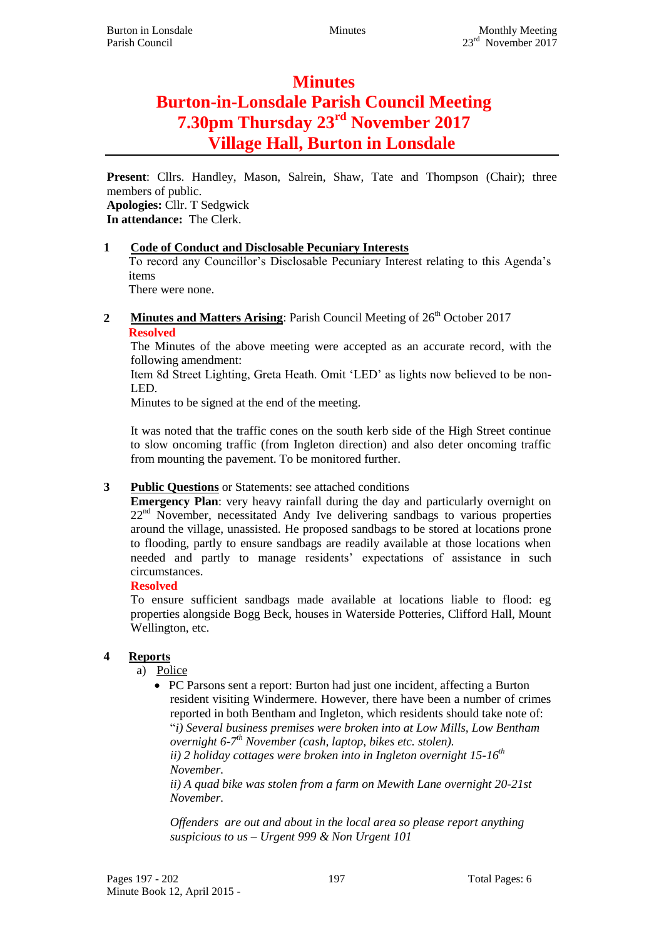# **Minutes Burton-in-Lonsdale Parish Council Meeting 7.30pm Thursday 23rd November 2017 Village Hall, Burton in Lonsdale**

**Present**: Cllrs. Handley, Mason, Salrein, Shaw, Tate and Thompson (Chair); three members of public. **Apologies:** Cllr. T Sedgwick **In attendance:** The Clerk.

# **1 Code of Conduct and Disclosable Pecuniary Interests**

To record any Councillor's Disclosable Pecuniary Interest relating to this Agenda's items

There were none.

**2 Minutes and Matters Arising**: Parish Council Meeting of  $26<sup>th</sup>$  October 2017 **Resolved**

The Minutes of the above meeting were accepted as an accurate record, with the following amendment:

Item 8d Street Lighting, Greta Heath. Omit 'LED' as lights now believed to be non-LED.

Minutes to be signed at the end of the meeting.

It was noted that the traffic cones on the south kerb side of the High Street continue to slow oncoming traffic (from Ingleton direction) and also deter oncoming traffic from mounting the pavement. To be monitored further.

## **3 Public Questions** or Statements: see attached conditions

**Emergency Plan**: very heavy rainfall during the day and particularly overnight on  $22<sup>nd</sup>$  November, necessitated Andy Ive delivering sandbags to various properties around the village, unassisted. He proposed sandbags to be stored at locations prone to flooding, partly to ensure sandbags are readily available at those locations when needed and partly to manage residents' expectations of assistance in such circumstances.

## **Resolved**

To ensure sufficient sandbags made available at locations liable to flood: eg properties alongside Bogg Beck, houses in Waterside Potteries, Clifford Hall, Mount Wellington, etc.

# **4 Reports**

a) Police

- PC Parsons sent a report: Burton had just one incident, affecting a Burton resident visiting Windermere. However, there have been a number of crimes reported in both Bentham and Ingleton, which residents should take note of: "*i) Several business premises were broken into at Low Mills, Low Bentham overnight 6-7 th November (cash, laptop, bikes etc. stolen). ii) 2 holiday cottages were broken into in Ingleton overnight 15-16th*
	- *November.*

*ii) A quad bike was stolen from a farm on Mewith Lane overnight 20-21st November.*

*Offenders are out and about in the local area so please report anything suspicious to us – Urgent 999 & Non Urgent 101*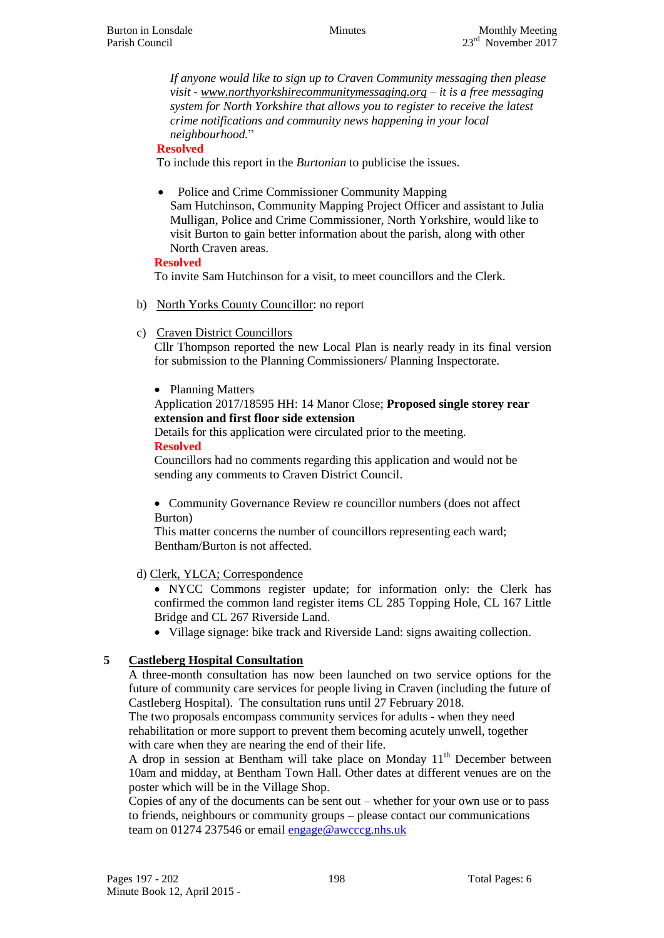*If anyone would like to sign up to Craven Community messaging then please visit - [www.northyorkshirecommunitymessaging.org](http://www.northyorkshirecommunitymessaging.org/) – it is a free messaging system for North Yorkshire that allows you to register to receive the latest crime notifications and community news happening in your local neighbourhood.*"

#### **Resolved**

To include this report in the *Burtonian* to publicise the issues.

 Police and Crime Commissioner Community Mapping Sam Hutchinson, Community Mapping Project Officer and assistant to Julia Mulligan, Police and Crime Commissioner, North Yorkshire, would like to visit Burton to gain better information about the parish, along with other North Craven areas.

#### **Resolved**

To invite Sam Hutchinson for a visit, to meet councillors and the Clerk.

- b) North Yorks County Councillor: no report
- c) Craven District Councillors

Cllr Thompson reported the new Local Plan is nearly ready in its final version for submission to the Planning Commissioners/ Planning Inspectorate.

#### • Planning Matters

#### Application 2017/18595 HH: 14 Manor Close; **Proposed single storey rear extension and first floor side extension**

Details for this application were circulated prior to the meeting. **Resolved**

Councillors had no comments regarding this application and would not be sending any comments to Craven District Council.

 Community Governance Review re councillor numbers (does not affect Burton)

This matter concerns the number of councillors representing each ward; Bentham/Burton is not affected.

## d) Clerk, YLCA; Correspondence

 NYCC Commons register update; for information only: the Clerk has confirmed the common land register items CL 285 Topping Hole, CL 167 Little Bridge and CL 267 Riverside Land.

Village signage: bike track and Riverside Land: signs awaiting collection.

## **5 Castleberg Hospital Consultation**

A three-month consultation has now been launched on two service options for the future of community care services for people living in Craven (including the future of Castleberg Hospital). The consultation runs until 27 February 2018.

The two proposals encompass community services for adults - when they need rehabilitation or more support to prevent them becoming acutely unwell, together with care when they are nearing the end of their life.

A drop in session at Bentham will take place on Monday  $11<sup>th</sup>$  December between 10am and midday, at Bentham Town Hall. Other dates at different venues are on the poster which will be in the Village Shop.

Copies of any of the documents can be sent out – whether for your own use or to pass to friends, neighbours or community groups – please contact our communications team on 01274 237546 or email [engage@awcccg.nhs.uk](mailto:engage@awcccg.nhs.uk)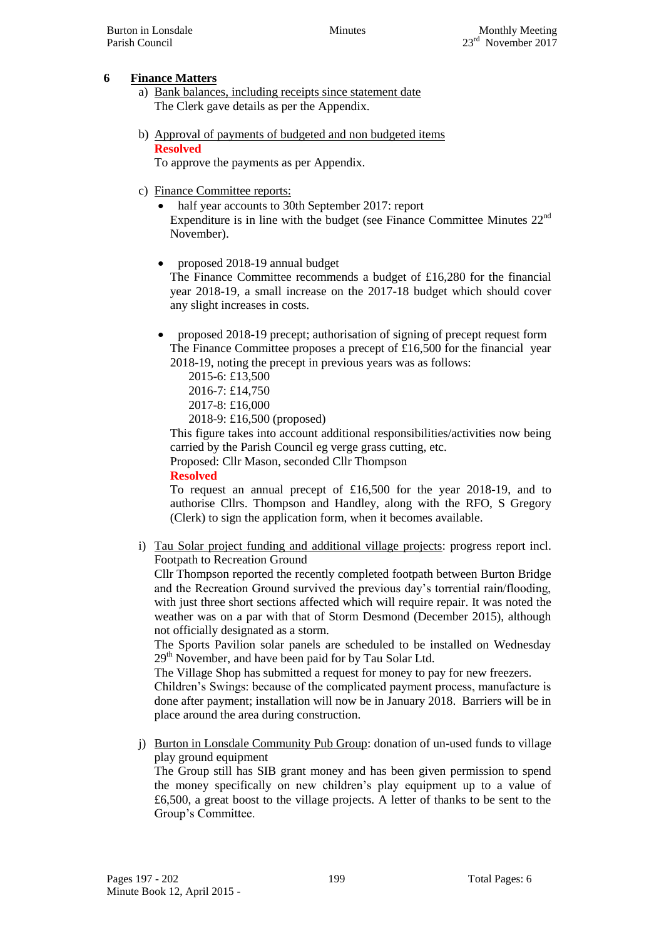# **6 Finance Matters**

- a) Bank balances, including receipts since statement date The Clerk gave details as per the Appendix.
- b) Approval of payments of budgeted and non budgeted items **Resolved**

To approve the payments as per Appendix.

- c) Finance Committee reports:
	- half year accounts to 30th September 2017: report Expenditure is in line with the budget (see Finance Committee Minutes 22nd November).
	- proposed 2018-19 annual budget

The Finance Committee recommends a budget of £16,280 for the financial year 2018-19, a small increase on the 2017-18 budget which should cover any slight increases in costs.

- proposed 2018-19 precept; authorisation of signing of precept request form The Finance Committee proposes a precept of £16,500 for the financial year 2018-19, noting the precept in previous years was as follows:
	- 2015-6: £13,500 2016-7: £14,750
	- 2017-8: £16,000
	- 2018-9: £16,500 (proposed)

This figure takes into account additional responsibilities/activities now being carried by the Parish Council eg verge grass cutting, etc.

Proposed: Cllr Mason, seconded Cllr Thompson

**Resolved**

To request an annual precept of £16,500 for the year 2018-19, and to authorise Cllrs. Thompson and Handley, along with the RFO, S Gregory (Clerk) to sign the application form, when it becomes available.

i) Tau Solar project funding and additional village projects: progress report incl. Footpath to Recreation Ground

Cllr Thompson reported the recently completed footpath between Burton Bridge and the Recreation Ground survived the previous day's torrential rain/flooding, with just three short sections affected which will require repair. It was noted the weather was on a par with that of Storm Desmond (December 2015), although not officially designated as a storm.

The Sports Pavilion solar panels are scheduled to be installed on Wednesday  $29<sup>th</sup>$  November, and have been paid for by Tau Solar Ltd.

The Village Shop has submitted a request for money to pay for new freezers.

Children's Swings: because of the complicated payment process, manufacture is done after payment; installation will now be in January 2018. Barriers will be in place around the area during construction.

j) Burton in Lonsdale Community Pub Group: donation of un-used funds to village play ground equipment

The Group still has SIB grant money and has been given permission to spend the money specifically on new children's play equipment up to a value of £6,500, a great boost to the village projects. A letter of thanks to be sent to the Group's Committee.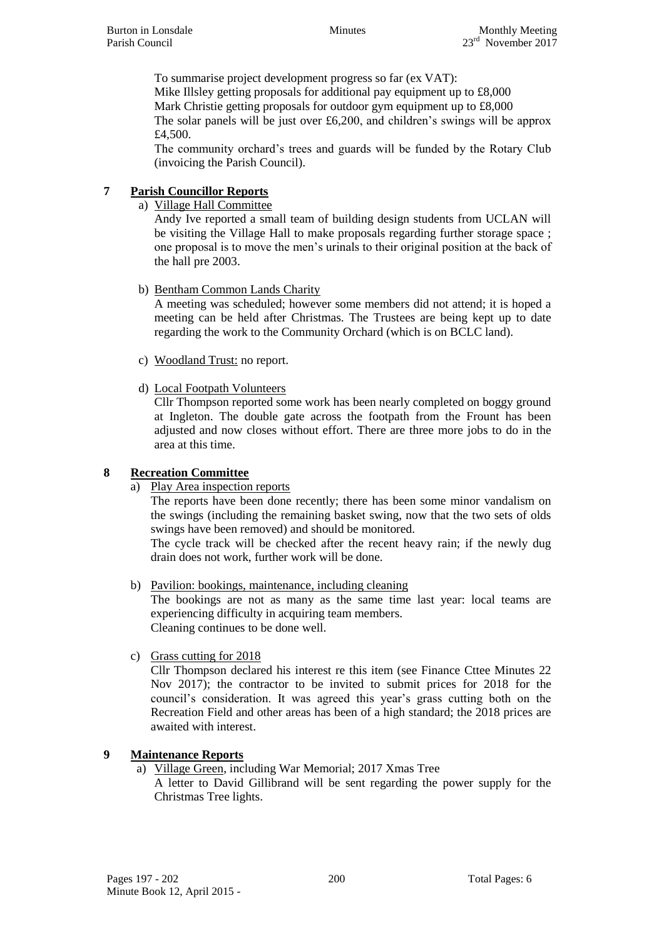To summarise project development progress so far (ex VAT): Mike Illsley getting proposals for additional pay equipment up to £8,000 Mark Christie getting proposals for outdoor gym equipment up to £8,000 The solar panels will be just over  $£6,200$ , and children's swings will be approx £4,500.

The community orchard's trees and guards will be funded by the Rotary Club (invoicing the Parish Council).

# **7 Parish Councillor Reports**

a) Village Hall Committee

Andy Ive reported a small team of building design students from UCLAN will be visiting the Village Hall to make proposals regarding further storage space ; one proposal is to move the men's urinals to their original position at the back of the hall pre 2003.

b) Bentham Common Lands Charity

A meeting was scheduled; however some members did not attend; it is hoped a meeting can be held after Christmas. The Trustees are being kept up to date regarding the work to the Community Orchard (which is on BCLC land).

- c) Woodland Trust: no report.
- d) Local Footpath Volunteers

Cllr Thompson reported some work has been nearly completed on boggy ground at Ingleton. The double gate across the footpath from the Frount has been adjusted and now closes without effort. There are three more jobs to do in the area at this time.

## **8 Recreation Committee**

a) Play Area inspection reports

The reports have been done recently; there has been some minor vandalism on the swings (including the remaining basket swing, now that the two sets of olds swings have been removed) and should be monitored.

The cycle track will be checked after the recent heavy rain; if the newly dug drain does not work, further work will be done.

- b) Pavilion: bookings, maintenance, including cleaning The bookings are not as many as the same time last year: local teams are experiencing difficulty in acquiring team members. Cleaning continues to be done well.
- c) Grass cutting for 2018

Cllr Thompson declared his interest re this item (see Finance Cttee Minutes 22 Nov 2017); the contractor to be invited to submit prices for 2018 for the council's consideration. It was agreed this year's grass cutting both on the Recreation Field and other areas has been of a high standard; the 2018 prices are awaited with interest.

# **9 Maintenance Reports**

a) Village Green, including War Memorial; 2017 Xmas Tree A letter to David Gillibrand will be sent regarding the power supply for the Christmas Tree lights.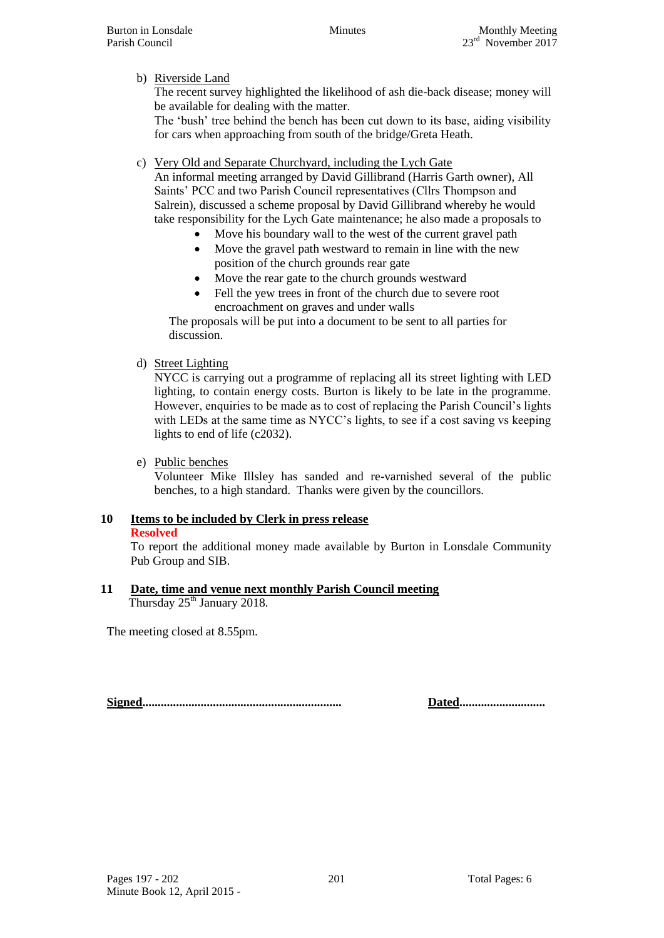# b) Riverside Land

The recent survey highlighted the likelihood of ash die-back disease; money will be available for dealing with the matter.

The 'bush' tree behind the bench has been cut down to its base, aiding visibility for cars when approaching from south of the bridge/Greta Heath.

## c) Very Old and Separate Churchyard, including the Lych Gate

An informal meeting arranged by David Gillibrand (Harris Garth owner), All Saints' PCC and two Parish Council representatives (Cllrs Thompson and Salrein), discussed a scheme proposal by David Gillibrand whereby he would take responsibility for the Lych Gate maintenance; he also made a proposals to

- Move his boundary wall to the west of the current gravel path
- Move the gravel path westward to remain in line with the new position of the church grounds rear gate
- Move the rear gate to the church grounds westward
- Fell the yew trees in front of the church due to severe root encroachment on graves and under walls

The proposals will be put into a document to be sent to all parties for discussion.

# d) Street Lighting

NYCC is carrying out a programme of replacing all its street lighting with LED lighting, to contain energy costs. Burton is likely to be late in the programme. However, enquiries to be made as to cost of replacing the Parish Council's lights with LEDs at the same time as NYCC's lights, to see if a cost saving vs keeping lights to end of life (c2032).

## e) Public benches

Volunteer Mike Illsley has sanded and re-varnished several of the public benches, to a high standard. Thanks were given by the councillors.

# **10 Items to be included by Clerk in press release**

#### **Resolved**

To report the additional money made available by Burton in Lonsdale Community Pub Group and SIB.

#### **11 Date, time and venue next monthly Parish Council meeting** Thursday 25<sup>th</sup> January 2018.

The meeting closed at 8.55pm.

**Signed................................................................. Dated............................**